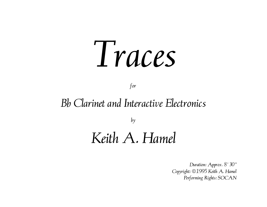# Traces

for

## Bb Clarinet and Interactive Electronics

by

## Keith A. Hamel

Duration: Approx. 8' 30" Copyright: ©1995 Keith A. Hamel Performing Rights: SOCAN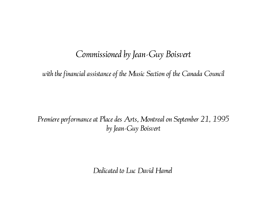### Commissioned by Jean-Guy Boisvert

with the financial assistance of the Music Section of the Canada Council

Premiere performance at Place des Arts, Montreal on September 21, 1995 by Jean-Guy Boisvert

Dedicated to Luc David Hamel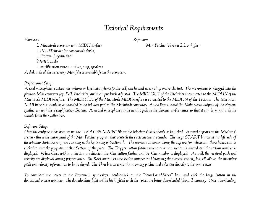#### Technical Requirements

Hardware: Software:

1 Macintosh computer with MIDI Interface Max Patcher Version 2.1 or higher IVL Pitchrider (or comparable device) Proteus-1 synthesizer MIDI cables amplification system - mixer, amp, speakers A disk with all the necessary Max files is available from the composer.

#### Performance Setup:

A reed microphone, contact microphone or lapel microphone (in the bell) can be used as <sup>a</sup> <sup>p</sup>ickup on the clarinet. The microphone is <sup>p</sup>lugged into the <sup>p</sup>itch-to-Midi converter (eg. IVL Pitchrider) and the input levels adjusted. The MIDI OUT of the Pitchrider is connected to the MIDI IN of the Macintosh MIDI interface. The MIDI OUT of the Macintosh MIDI interface is connected to the MIDI IN of the Proteus. The Macintosh MIDI interface should be connnected to the Modem por<sup>t</sup> of the Macintosh computer. Audio lines connect the Main stereo outputs of the Proteus synthesizer with the Amplification System. A second microphone can be used to <sup>p</sup>ick up the clarinet performance so that it can be mixed with the sounds from the synthesizer.

#### Software Setup:

Once the equipment has been set up, the "TRACES-MAIN" file on the Macintosh disk should be launched. A panel appears on the Macintosh screen - this is the main panel of the Max Patcher program that controls the electroacoustic sounds. The large START button at the left side of the window starts the program running at the beginning of Section 1. The numbers in boxes along the top are for rehearsal; these boxes can be clicked to start the program at that Section of the <sup>p</sup>iece. The Trigger button flashes whenever <sup>a</sup> new section is started and the section number is displayed. When Cues within <sup>a</sup> Section are detected, the Cue button flashes and the Cue number is displayed. As well, the received <sup>p</sup>itch and velocity are displayed during performance. The Reset button sets the section number to 0 (stopping the current section), but still allows the incoming <sup>p</sup>itch and velocity information to be displayed. The Thru button sends the incoming <sup>p</sup>itches and velocities directly to the synthesizer.

To download the voices to the Proteus-1 synthesizer, double-click on the "downLoadVoices" box, and click the large button in the downLoadVoices window. The downloading light will be highlighted while the voices are being downloaded (about 1 minute). Once downloading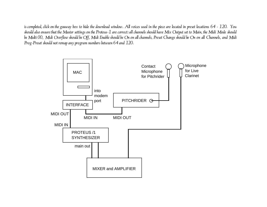is completed, click on the goaway box to hide the download window. All voices used in the <sup>p</sup>iece are located in prese<sup>t</sup> locations 64 - 120. You should also ensure that the Master settings on the Proteus-1 are correct: all channels should have Mix Output set to Main, the Midi Mode should be Multi 00, Midi Overflow should be Off, Midi Enable should be On on all channels, Preset Change should be On on all Channels, and Midi Prog-Preset should not remap any program numbers between 64 and 120.

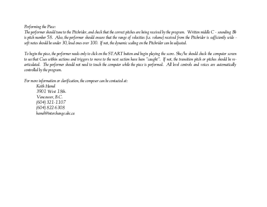Performing the Piece:

The performer should tune to the Pitchrider, and check that the correct <sup>p</sup>itches are being received by the program. Written middle <sup>C</sup> - sounding Bb is <sup>p</sup>itch number 58. Also, the performer should ensure that the range of velocities (i.e. volume) received from the Pitchrider is sufficiently wide soft notes should be under 30, loud ones over 100. If not, the dynamic scaling on the Pitchrider can be adjusted.

To begin the <sup>p</sup>iece, the performer needs only to click on the START button and begin <sup>p</sup>laying the score. She/he should check the computer screen to see that Cues within sections and triggers to move to the next section have been "caught". If not, the transition <sup>p</sup>itch or <sup>p</sup>itches should be rearticulated. The performer should not need to touch the computer while the <sup>p</sup>iece is performed. All level controls and voices are automatically controlled by the program.

For more information or clarification, the composer can be contacted at:

Keith Hamel 3901 West 18th. Vancouver, B.C. (604) 321-1107 (604) 822-6308 hamel@interchange.ubc.ca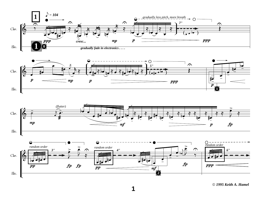

 *1995 Keith A. Hamel*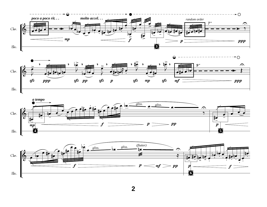





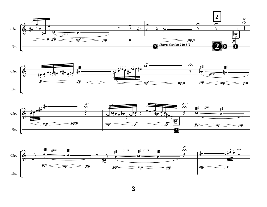





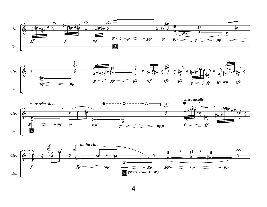





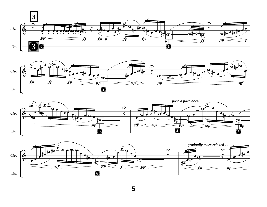





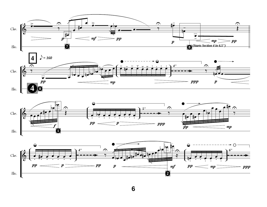



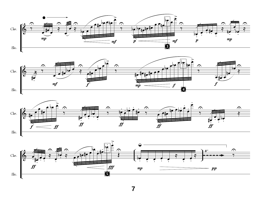





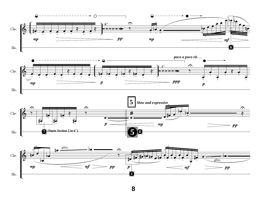